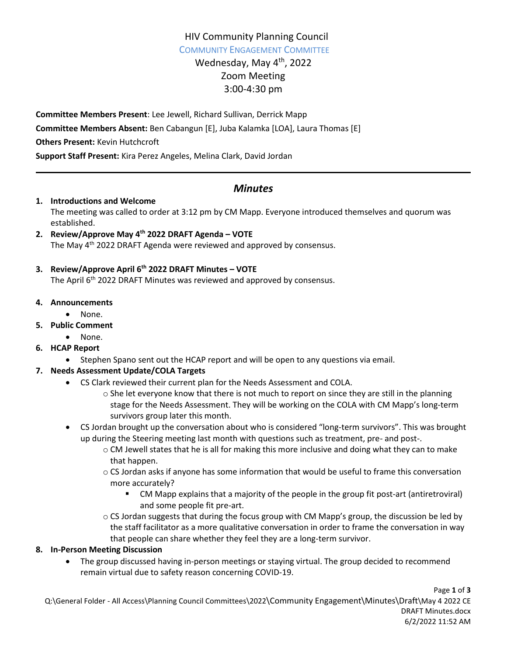# HIV Community Planning Council

COMMUNITY ENGAGEMENT COMMITTEE

# Wednesday, May 4<sup>th</sup>, 2022 Zoom Meeting 3:00-4:30 pm

**Committee Members Present**: Lee Jewell, Richard Sullivan, Derrick Mapp **Committee Members Absent:** Ben Cabangun [E], Juba Kalamka [LOA], Laura Thomas [E] **Others Present:** Kevin Hutchcroft **Support Staff Present:** Kira Perez Angeles, Melina Clark, David Jordan

# *Minutes*

#### **1. Introductions and Welcome**

The meeting was called to order at 3:12 pm by CM Mapp. Everyone introduced themselves and quorum was established.

**2. Review/Approve May 4th 2022 DRAFT Agenda – VOTE**  The May 4<sup>th</sup> 2022 DRAFT Agenda were reviewed and approved by consensus.

## **3. Review/Approve April 6th 2022 DRAFT Minutes – VOTE**

The April 6<sup>th</sup> 2022 DRAFT Minutes was reviewed and approved by consensus.

#### **4. Announcements**

• None.

## **5. Public Comment**

• None.

## **6. HCAP Report**

Stephen Spano sent out the HCAP report and will be open to any questions via email.

# **7. Needs Assessment Update/COLA Targets**

- CS Clark reviewed their current plan for the Needs Assessment and COLA.
	- $\circ$  She let everyone know that there is not much to report on since they are still in the planning stage for the Needs Assessment. They will be working on the COLA with CM Mapp's long-term survivors group later this month.
- CS Jordan brought up the conversation about who is considered "long-term survivors". This was brought up during the Steering meeting last month with questions such as treatment, pre- and post-.
	- o CM Jewell states that he is all for making this more inclusive and doing what they can to make that happen.
	- o CS Jordan asks if anyone has some information that would be useful to frame this conversation more accurately?
		- CM Mapp explains that a majority of the people in the group fit post-art (antiretroviral) and some people fit pre-art.
	- $\circ$  CS Jordan suggests that during the focus group with CM Mapp's group, the discussion be led by the staff facilitator as a more qualitative conversation in order to frame the conversation in way that people can share whether they feel they are a long-term survivor.

## **8. In-Person Meeting Discussion**

 The group discussed having in-person meetings or staying virtual. The group decided to recommend remain virtual due to safety reason concerning COVID-19.